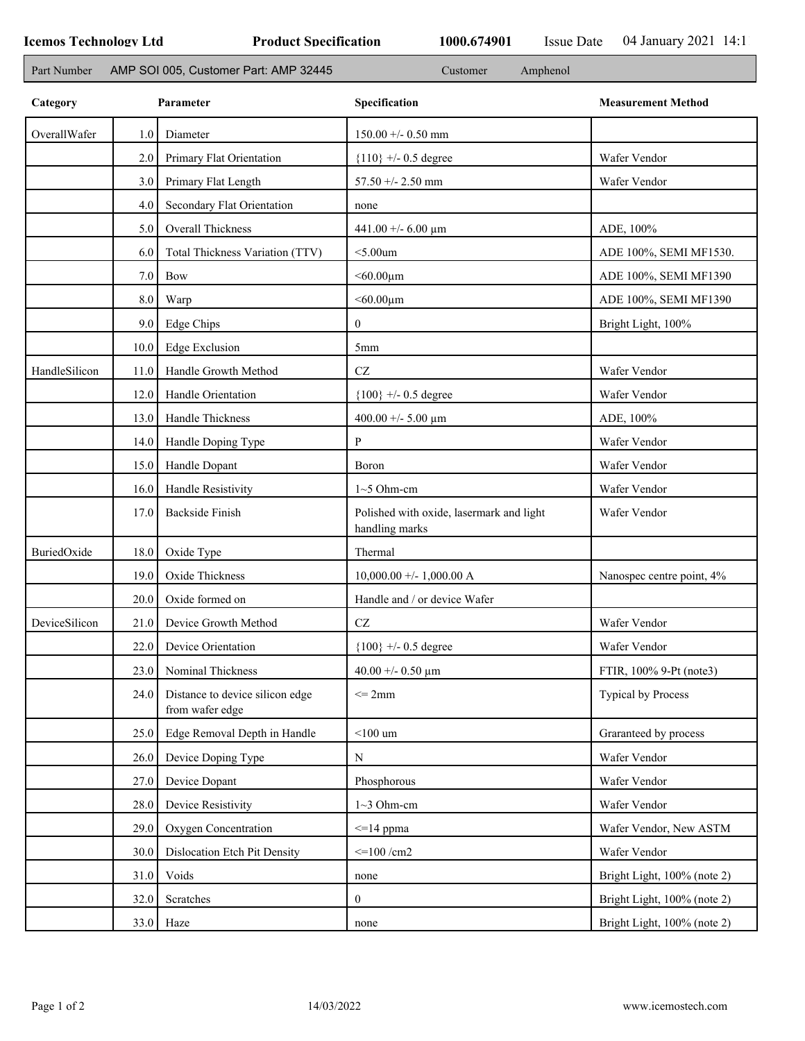٦

| Part Number   |           | AMP SOI 005, Customer Part: AMP 32445<br>Amphenol<br>Customer |                                                            |                             |  |  |
|---------------|-----------|---------------------------------------------------------------|------------------------------------------------------------|-----------------------------|--|--|
| Category      | Parameter |                                                               | Specification                                              | <b>Measurement Method</b>   |  |  |
| OverallWafer  | 1.0       | Diameter                                                      | $150.00 + - 0.50$ mm                                       |                             |  |  |
|               | 2.0       | Primary Flat Orientation                                      | ${110}$ +/- 0.5 degree                                     | Wafer Vendor                |  |  |
|               | 3.0       | Primary Flat Length                                           | $57.50 + - 2.50$ mm                                        | Wafer Vendor                |  |  |
|               | 4.0       | Secondary Flat Orientation                                    | none                                                       |                             |  |  |
|               | 5.0       | Overall Thickness                                             | 441.00 +/- 6.00 $\mu$ m                                    | ADE, 100%                   |  |  |
|               | 6.0       | Total Thickness Variation (TTV)                               | $<$ 5.00 $um$                                              | ADE 100%, SEMI MF1530.      |  |  |
|               | 7.0       | <b>Bow</b>                                                    | $< 60.00 \mu m$                                            | ADE 100%, SEMI MF1390       |  |  |
|               | $8.0\,$   | Warp                                                          | $< 60.00 \mu m$                                            | ADE 100%, SEMI MF1390       |  |  |
|               | 9.0       | <b>Edge Chips</b>                                             | $\overline{0}$                                             | Bright Light, 100%          |  |  |
|               | 10.0      | <b>Edge Exclusion</b>                                         | 5 <sub>mm</sub>                                            |                             |  |  |
| HandleSilicon | 11.0      | Handle Growth Method                                          | $\operatorname{CZ}$                                        | Wafer Vendor                |  |  |
|               | 12.0      | Handle Orientation                                            | ${100}$ +/- 0.5 degree                                     | Wafer Vendor                |  |  |
|               | 13.0      | Handle Thickness                                              | 400.00 +/- 5.00 $\mu$ m                                    | ADE, 100%                   |  |  |
|               | 14.0      | Handle Doping Type                                            | P                                                          | Wafer Vendor                |  |  |
|               | 15.0      | Handle Dopant                                                 | Boron                                                      | Wafer Vendor                |  |  |
|               | 16.0      | Handle Resistivity                                            | $1~5$ Ohm-cm                                               | Wafer Vendor                |  |  |
|               | 17.0      | <b>Backside Finish</b>                                        | Polished with oxide, lasermark and light<br>handling marks | Wafer Vendor                |  |  |
| BuriedOxide   | 18.0      | Oxide Type                                                    | Thermal                                                    |                             |  |  |
|               | 19.0      | Oxide Thickness                                               | $10,000.00 +/- 1,000.00 A$                                 | Nanospec centre point, 4%   |  |  |
|               | 20.0      | Oxide formed on                                               | Handle and / or device Wafer                               |                             |  |  |
| DeviceSilicon | 21.0      | Device Growth Method                                          | CZ                                                         | Wafer Vendor                |  |  |
|               | 22.0      | Device Orientation                                            | ${100}$ +/- 0.5 degree                                     | Wafer Vendor                |  |  |
|               | 23.0      | Nominal Thickness                                             | 40.00 +/- 0.50 $\mu$ m                                     | FTIR, 100% 9-Pt (note3)     |  |  |
|               | 24.0      | Distance to device silicon edge<br>from wafer edge            | $\leq$ 2mm                                                 | Typical by Process          |  |  |
|               | 25.0      | Edge Removal Depth in Handle                                  | $<$ 100 $\,$ um                                            | Graranteed by process       |  |  |
|               | 26.0      | Device Doping Type                                            | N                                                          | Wafer Vendor                |  |  |
|               | 27.0      | Device Dopant                                                 | Phosphorous                                                | Wafer Vendor                |  |  |
|               | 28.0      | Device Resistivity                                            | $1~3$ Ohm-cm                                               | Wafer Vendor                |  |  |
|               | 29.0      | Oxygen Concentration                                          | $\leq$ 14 ppma                                             | Wafer Vendor, New ASTM      |  |  |
|               | 30.0      | Dislocation Etch Pit Density                                  | $\leq$ 100 /cm2                                            | Wafer Vendor                |  |  |
|               | 31.0      | Voids                                                         | none                                                       | Bright Light, 100% (note 2) |  |  |
|               | 32.0      | Scratches                                                     | $\mathbf{0}$                                               | Bright Light, 100% (note 2) |  |  |
|               | 33.0      | Haze                                                          | none                                                       | Bright Light, 100% (note 2) |  |  |